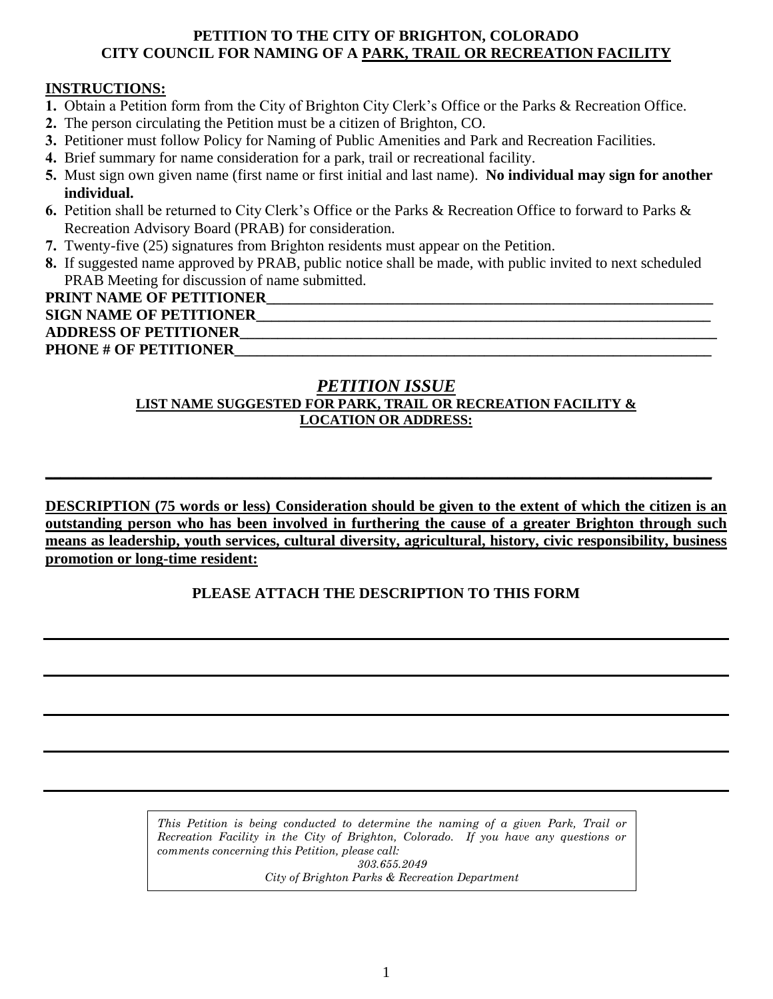#### **PETITION TO THE CITY OF BRIGHTON, COLORADO CITY COUNCIL FOR NAMING OF A PARK, TRAIL OR RECREATION FACILITY**

### **INSTRUCTIONS:**

- **1.** Obtain a Petition form from the City of Brighton City Clerk's Office or the Parks & Recreation Office.
- **2.** The person circulating the Petition must be a citizen of Brighton, CO.
- **3.** Petitioner must follow Policy for Naming of Public Amenities and Park and Recreation Facilities.
- **4.** Brief summary for name consideration for a park, trail or recreational facility.
- **5.** Must sign own given name (first name or first initial and last name). **No individual may sign for another individual.**
- **6.** Petition shall be returned to City Clerk's Office or the Parks & Recreation Office to forward to Parks & Recreation Advisory Board (PRAB) for consideration.
- **7.** Twenty-five (25) signatures from Brighton residents must appear on the Petition.
- **8.** If suggested name approved by PRAB, public notice shall be made, with public invited to next scheduled PRAB Meeting for discussion of name submitted.

## PRINT NAME OF PETITIONER **SIGN NAME OF PETITIONER\_\_\_\_\_\_\_\_\_\_\_\_\_\_\_\_\_\_\_\_\_\_\_\_\_\_\_\_\_\_\_\_\_\_\_\_\_\_\_\_\_\_\_\_\_\_\_\_\_\_\_\_\_\_\_\_\_\_\_\_**

**ADDRESS OF PETITIONER\_\_\_\_\_\_\_\_\_\_\_\_\_\_\_\_\_\_\_\_\_\_\_\_\_\_\_\_\_\_\_\_\_\_\_\_\_\_\_\_\_\_\_\_\_\_\_\_\_\_\_\_\_\_\_\_\_\_\_\_\_\_\_**  PHONE # OF PETITIONER

#### *PETITION ISSUE* **LIST NAME SUGGESTED FOR PARK, TRAIL OR RECREATION FACILITY & LOCATION OR ADDRESS:**

**\_\_\_\_\_\_\_\_\_\_\_\_\_\_\_\_\_\_\_\_\_\_\_\_\_\_\_\_\_\_\_\_\_\_\_\_\_\_\_\_\_\_\_\_\_\_\_\_\_\_\_\_\_\_\_\_\_\_\_\_\_\_\_\_\_\_\_\_\_\_\_\_\_\_\_\_\_\_\_\_\_\_\_\_\_\_\_\_**

**DESCRIPTION (75 words or less) Consideration should be given to the extent of which the citizen is an outstanding person who has been involved in furthering the cause of a greater Brighton through such means as leadership, youth services, cultural diversity, agricultural, history, civic responsibility, business promotion or long-time resident:**

## **PLEASE ATTACH THE DESCRIPTION TO THIS FORM**

*This Petition is being conducted to determine the naming of a given Park, Trail or Recreation Facility in the City of Brighton, Colorado. If you have any questions or comments concerning this Petition, please call: 303.655.2049 City of Brighton Parks & Recreation Department*